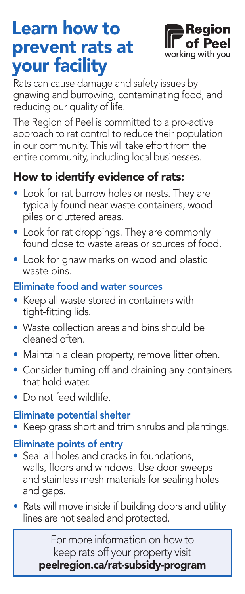# Learn how to prevent rats at your facility



Rats can cause damage and safety issues by gnawing and burrowing, contaminating food, and reducing our quality of life.

The Region of Peel is committed to a pro-active approach to rat control to reduce their population in our community. This will take effort from the entire community, including local businesses.

## How to identify evidence of rats:

- Look for rat burrow holes or nests. They are typically found near waste containers, wood piles or cluttered areas.
- Look for rat droppings. They are commonly found close to waste areas or sources of food.
- Look for gnaw marks on wood and plastic waste bins.

#### Eliminate food and water sources

- Keep all waste stored in containers with tight-fitting lids.
- Waste collection areas and bins should be cleaned often.
- Maintain a clean property, remove litter often.
- Consider turning off and draining any containers that hold water.
- Do not feed wildlife.

### Eliminate potential shelter

• Keep grass short and trim shrubs and plantings.

### Eliminate points of entry

- Seal all holes and cracks in foundations, walls, floors and windows. Use door sweeps and stainless mesh materials for sealing holes and gaps.
- Rats will move inside if building doors and utility lines are not sealed and protected.

For more information on how to keep rats off your property visit peelregion.ca/rat-subsidy-program